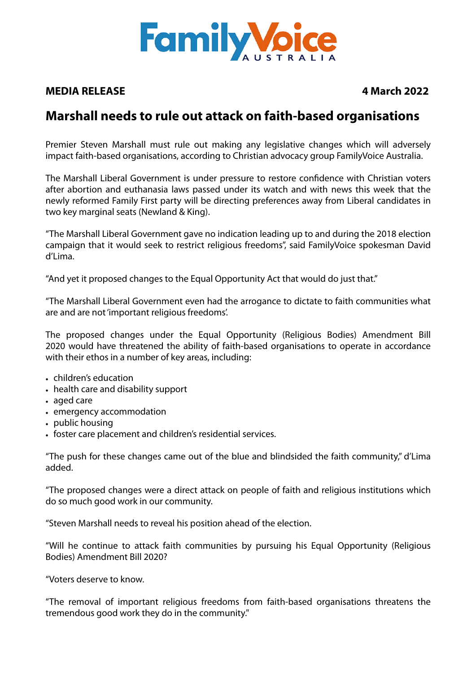

## **MEDIA RELEASE 4 March 2022**

## **Marshall needs to rule out attack on faith-based organisations**

Premier Steven Marshall must rule out making any legislative changes which will adversely impact faith-based organisations, according to Christian advocacy group FamilyVoice Australia.

The Marshall Liberal Government is under pressure to restore confidence with Christian voters after abortion and euthanasia laws passed under its watch and with news this week that the newly reformed Family First party will be directing preferences away from Liberal candidates in two key marginal seats (Newland & King).

"The Marshall Liberal Government gave no indication leading up to and during the 2018 election campaign that it would seek to restrict religious freedoms", said FamilyVoice spokesman David d'Lima.

"And yet it proposed changes to the Equal Opportunity Act that would do just that."

"The Marshall Liberal Government even had the arrogance to dictate to faith communities what are and are not 'important religious freedoms'.

The proposed changes under the Equal Opportunity (Religious Bodies) Amendment Bill 2020 would have threatened the ability of faith-based organisations to operate in accordance with their ethos in a number of key areas, including:

- children's education
- health care and disability support
- aged care
- emergency accommodation
- public housing
- foster care placement and children's residential services.

"The push for these changes came out of the blue and blindsided the faith community," d'Lima added.

"The proposed changes were a direct attack on people of faith and religious institutions which do so much good work in our community.

"Steven Marshall needs to reveal his position ahead of the election.

"Will he continue to attack faith communities by pursuing his Equal Opportunity (Religious Bodies) Amendment Bill 2020?

"Voters deserve to know.

"The removal of important religious freedoms from faith-based organisations threatens the tremendous good work they do in the community."